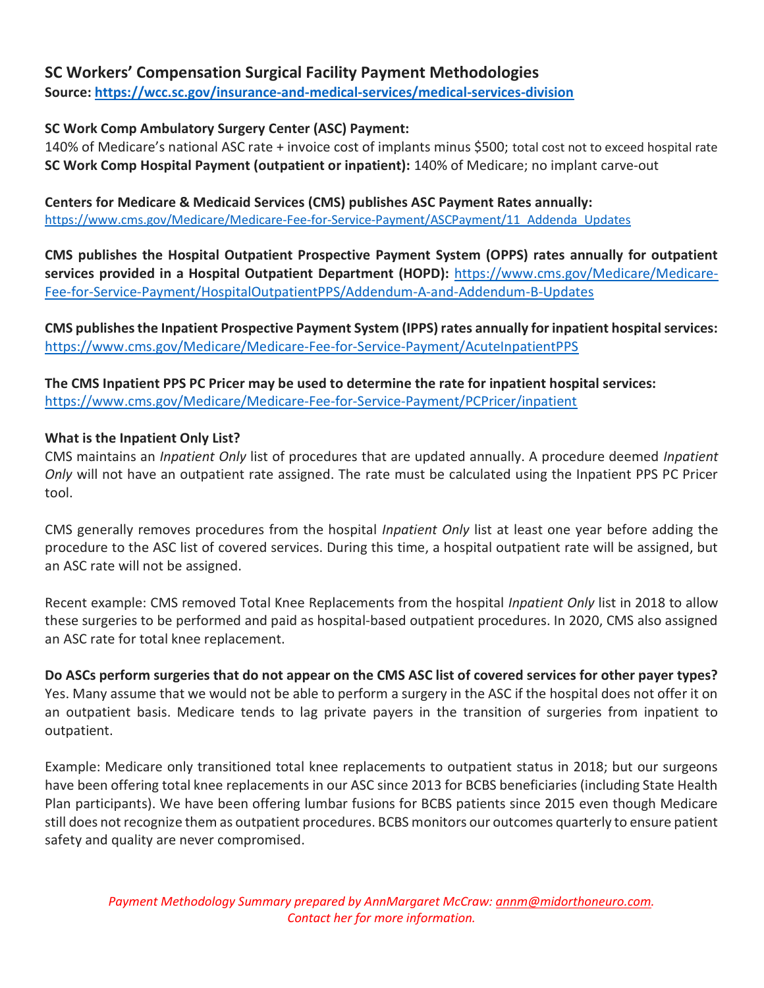# SC Workers' Compensation Surgical Facility Payment Methodologies

Source: https://wcc.sc.gov/insurance-and-medical-services/medical-services-division

### SC Work Comp Ambulatory Surgery Center (ASC) Payment:

140% of Medicare's national ASC rate + invoice cost of implants minus \$500; total cost not to exceed hospital rate SC Work Comp Hospital Payment (outpatient or inpatient): 140% of Medicare; no implant carve-out

Centers for Medicare & Medicaid Services (CMS) publishes ASC Payment Rates annually: https://www.cms.gov/Medicare/Medicare-Fee-for-Service-Payment/ASCPayment/11\_Addenda\_Updates

CMS publishes the Hospital Outpatient Prospective Payment System (OPPS) rates annually for outpatient services provided in a Hospital Outpatient Department (HOPD): https://www.cms.gov/Medicare/Medicare-Fee-for-Service-Payment/HospitalOutpatientPPS/Addendum-A-and-Addendum-B-Updates

CMS publishes the Inpatient Prospective Payment System (IPPS) rates annually for inpatient hospital services: https://www.cms.gov/Medicare/Medicare-Fee-for-Service-Payment/AcuteInpatientPPS

The CMS Inpatient PPS PC Pricer may be used to determine the rate for inpatient hospital services: https://www.cms.gov/Medicare/Medicare-Fee-for-Service-Payment/PCPricer/inpatient

#### What is the Inpatient Only List?

CMS maintains an Inpatient Only list of procedures that are updated annually. A procedure deemed Inpatient Only will not have an outpatient rate assigned. The rate must be calculated using the Inpatient PPS PC Pricer tool.

CMS generally removes procedures from the hospital *Inpatient Only* list at least one year before adding the procedure to the ASC list of covered services. During this time, a hospital outpatient rate will be assigned, but an ASC rate will not be assigned.

Recent example: CMS removed Total Knee Replacements from the hospital *Inpatient Only* list in 2018 to allow these surgeries to be performed and paid as hospital-based outpatient procedures. In 2020, CMS also assigned an ASC rate for total knee replacement.

Do ASCs perform surgeries that do not appear on the CMS ASC list of covered services for other payer types? Yes. Many assume that we would not be able to perform a surgery in the ASC if the hospital does not offer it on an outpatient basis. Medicare tends to lag private payers in the transition of surgeries from inpatient to outpatient.

Example: Medicare only transitioned total knee replacements to outpatient status in 2018; but our surgeons have been offering total knee replacements in our ASC since 2013 for BCBS beneficiaries (including State Health Plan participants). We have been offering lumbar fusions for BCBS patients since 2015 even though Medicare still does not recognize them as outpatient procedures. BCBS monitors our outcomes quarterly to ensure patient safety and quality are never compromised.